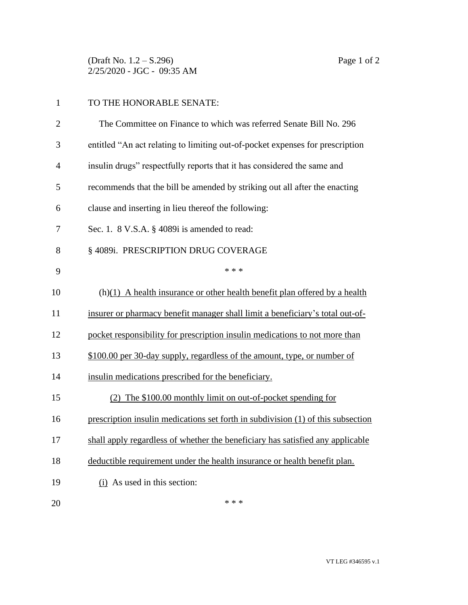(Draft No. 1.2 – S.296) Page 1 of 2 2/25/2020 - JGC - 09:35 AM

## TO THE HONORABLE SENATE:

| $\overline{2}$ | The Committee on Finance to which was referred Senate Bill No. 296               |
|----------------|----------------------------------------------------------------------------------|
| 3              | entitled "An act relating to limiting out-of-pocket expenses for prescription    |
| 4              | insulin drugs" respectfully reports that it has considered the same and          |
| 5              | recommends that the bill be amended by striking out all after the enacting       |
| 6              | clause and inserting in lieu thereof the following:                              |
| 7              | Sec. 1. 8 V.S.A. § 4089i is amended to read:                                     |
| 8              | § 4089i. PRESCRIPTION DRUG COVERAGE                                              |
| 9              | * * *                                                                            |
| 10             | $(h)(1)$ A health insurance or other health benefit plan offered by a health     |
| 11             | insurer or pharmacy benefit manager shall limit a beneficiary's total out-of-    |
| 12             | pocket responsibility for prescription insulin medications to not more than      |
| 13             | \$100.00 per 30-day supply, regardless of the amount, type, or number of         |
| 14             | insulin medications prescribed for the beneficiary.                              |
| 15             | (2) The \$100.00 monthly limit on out-of-pocket spending for                     |
| 16             | prescription insulin medications set forth in subdivision (1) of this subsection |
| 17             | shall apply regardless of whether the beneficiary has satisfied any applicable   |
| 18             | deductible requirement under the health insurance or health benefit plan.        |
| 19             | $(i)$ As used in this section:                                                   |
| 20             | * * *                                                                            |